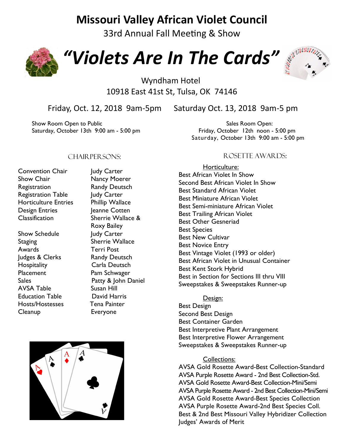# **Missouri Valley African Violet Council**

33rd Annual Fall Meeting & Show



*"Violets Are In The Cards"* 



## Wyndham Hotel 10918 East 41st St, Tulsa, OK 74146

Friday, Oct. 12, 2018 9am-5pm Saturday Oct. 13, 2018 9am-5 pm

Show Room Open to Public Show Room Open: Saturday, October 13th 9:00 am - 5:00 pm Friday, October 12th noon - 5:00 pm

Saturday, October 13th 9:00 am - 5:00 pm

#### CHAIR PER SONS:

- Convention Chair Judy Carter Show Chair **Nancy Moerer** Registration Randy Deutsch Registration Table Judy Carter Horticulture Entries Phillip Wallace Design Entries **Jeanne Cotten** Classification Sherrie Wallace &
- Show Schedule Judy Carter Staging Sherrie Wallace Awards Terri Post Judges & Clerks Randy Deutsch Hospitality Carla Deutsch Placement Pam Schwager AVSA Table Susan Hill Education Table David Harris Hosts/Hostesses Tena Painter Cleanup Everyone

Roxy Bailey Sales **Patty & John Daniel** 

#### Rosette Awards:

Horticulture: Best African Violet In Show Second Best African Violet In Show Best Standard African Violet Best Miniature African Violet Best Semi-miniature African Violet Best Trailing African Violet Best Other Gesneriad Best Species Best New Cultivar Best Novice Entry Best Vintage Violet (1993 or older) Best African Violet in Unusual Container Best Kent Stork Hybrid Best in Section for Sections III thru VIII Sweepstakes & Sweepstakes Runner-up

Design:

Best Design Second Best Design Best Container Garden Best Interpretive Plant Arrangement Best Interpretive Flower Arrangement Sweepstakes & Sweepstakes Runner-up

#### Collections:

AVSA Gold Rosette Award-Best Collection-Standard AVSA Purple Rosette Award - 2nd Best Collection-Std. AVSA Gold Rosette Award-Best Collection-Mini/Semi AVSA Purple Rosette Award - 2nd Best Collection-Mini/Semi AVSA Gold Rosette Award-Best Species Collection AVSA Purple Rosette Award-2nd Best Species Coll. Best & 2nd Best Missouri Valley Hybridizer Collection Judges' Awards of Merit

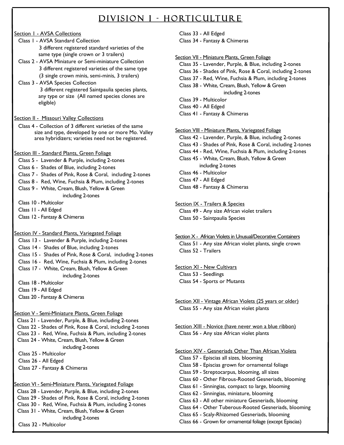## DIVISION I - HORTICULTURE

#### Section 1 - AVSA Collections

- Class 1 AVSA Standard Collection 3 different registered standard varieties of the same type (single crown or 3 trailers)
- Class 2 AVSA Miniature or Semi-miniature Collection 3 different registered varieties of the same type (3 single crown minis, semi-minis, 3 trailers)
- Class 3 AVSA Species Collection 3 different registered Saintpaulia species plants, any type or size (All named species clones are eligible)

Section II - Missouri Valley Collections

- Class 4 Collection of 3 different varieties of the same size and type, developed by one or more Mo. Valley area hybridizers; varieties need not be registered.
- Section III Standard Plants, Green Foliage
	- Class 5 Lavender & Purple, including 2-tones
	- Class 6 Shades of Blue, including 2-tones
	- Class 7 Shades of Pink, Rose & Coral, including 2-tones
	- Class 8 Red, Wine, Fuchsia & Plum, including 2-tones
	- Class 9 White, Cream, Blush, Yellow & Green including 2-tones
	- Class 10 Multicolor
	- Class 11 All Edged
	- Class 12 Fantasy & Chimeras

#### Section IV - Standard Plants, Variegated Foliage

- Class 13 Lavender & Purple, including 2-tones
- Class 14 Shades of Blue, including 2-tones
- Class 15 Shades of Pink, Rose & Coral, including 2-tones
- Class 16 Red, Wine, Fuchsia & Plum, including 2-tones
- Class 17 White, Cream, Blush, Yellow & Green including 2-tones
- Class 18 Multicolor
- Class 19 All Edged
- Class 20 Fantasy & Chimeras

#### Section V - Semi-Miniature Plants, Green Foliage

- Class 21 Lavender, Purple, & Blue, including 2-tones Class 22 - Shades of Pink, Rose & Coral, including 2-tones Class 23 - Red, Wine, Fuchsia & Plum, including 2-tones Class 24 - White, Cream, Blush, Yellow & Green including 2-tones
- Class 25 Multicolor
- Class 26 All Edged
- Class 27 Fantasy & Chimeras

#### Section VI - Semi-Miniature Plants, Variegated Foliage

 Class 28 - Lavender, Purple, & Blue, including 2-tones Class 29 - Shades of Pink, Rose & Coral, including 2-tones Class 30 - Red, Wine, Fuchsia & Plum, including 2-tones Class 31 - White, Cream, Blush, Yellow & Green including 2-tones Class 32 - Multicolor

Class 33 - All Edged Class 34 - Fantasy & Chimeras

#### Section VII - Miniature Plants, Green Foliage

- Class 35 Lavender, Purple, & Blue, including 2-tones Class 36 - Shades of Pink, Rose & Coral, including 2-tones
- Class 37 Red, Wine, Fuchsia & Plum, including 2-tones
- Class 38 White, Cream, Blush, Yellow & Green including 2-tones
- Class 39 Multicolor
- Class 40 All Edged
- Class 41 Fantasy & Chimeras

#### Section VIII - Miniature Plants, Variegated Foliage

- Class 42 Lavender, Purple, & Blue, including 2-tones Class 43 - Shades of Pink, Rose & Coral, including 2-tones Class 44 - Red, Wine, Fuchsia & Plum, including 2-tones Class 45 - White, Cream, Blush, Yellow & Green including 2-tones Class 46 - Multicolor Class 47 - All Edged
- Class 48 Fantasy & Chimeras
- Section IX Trailers & Species Class 49 - Any size African violet trailers Class 50 - Saintpaulia Species
- Section X African Violets in Unusual/Decorative Containers Class 51 - Any size African violet plants, single crown Class 52 - Trailers
- Section XI New Cultivars Class 53 - Seedlings Class 54 - Sports or Mutants
- Section XII Vintage African Violets (25 years or older) Class 55 - Any size African violet plants
- Section XIII Novice (have never won a blue ribbon) Class 56 - Any size African violet plants

#### Section XIV - Gesneriads Other Than African Violets

Class 57 - Episcias all sizes, blooming Class 58 - Episcias grown for ornamental foliage Class 59 - Streptocarpus, blooming, all sizes Class 60 - Other Fibrous-Rooted Gesneriads, blooming Class 61 - Sinningias, compact to large, blooming Class 62 - Sinningias, miniature, blooming Class 63 - All other miniature Gesneriads, blooming Class 64 - Other Tuberous-Rooted Gesneriads, blooming Class 65 - Scaly-Rhizomed Gesneriads, blooming

Class 66 - Grown for ornamental foliage (except Episcias)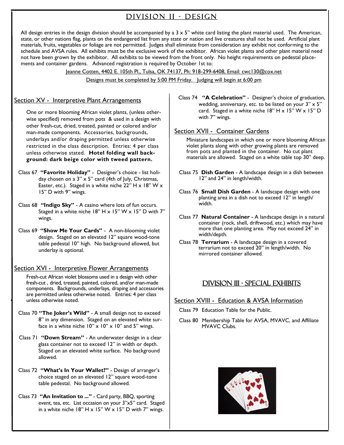## DIVISION II - DESIGN

All design entries in the design division should be accompanied by a  $3 \times 5$ " white card listing the plant material used. The American, state, or other nations flag, plants on the endangered list from any state or nation and live creatures shall not be used. Artificial plant materials, fruits, vegetables or foliage are not permitted. Judges shall eliminate from consideration any exhibit not conforming to the schedule and AVSA rules. All exhibits must be the exclusive work of the exhibitor. African violet plants and other plant material need not have been grown by the exhibitor. All exhibits to be viewed from the front only. No height requirements on pedestal placements and container gardens. Advanced registration is required by October 1st to:

Jeanne Cotten, 4402 E. 105th Pl., Tulsa, OK 74137, Ph: 918-299-6408, Email: cwc130@cox.net

Designs must be completed by 5:00 PM Friday. Judging will begin at 6:00 pm

#### Section XV - Interpretive Plant Arrangements

One or more blooming African violet plants, (unless otherwise specified) removed from pots & used in a design with other fresh-cut, dried, treated, painted or colored and/or man-made components. Accessories, backgrounds, underlays and/or draping permitted unless otherwise restricted in the class description. Entries: 4 per class unless otherwise stated. **Hotel folding wall background: dark beige color with tweed pattern.** 

- Class 67 **"Favorite Holiday"**  Designer's choice list holiday chosen on a  $3'' \times 5''$  card (4th of July, Christmas, Easter, etc.). Staged in a white niche 22" H  $\times$  18" W  $\times$ 15" D with 9" wings.
- Class 68 **"Indigo Sky"**  A casino where lots of fun occurs. Staged in a white niche 18" H x 15" W x 15" D with 7" wings.
- Class 69 **"Show Me Your Cards"**  A non-blooming violet design. Staged on an elevated 12" square wood-tone table pedestal 10" high. No background allowed, but underlay is optional.

#### Section XVI - Interpretive Flower Arrangements

Fresh-cut African violet blossoms used in a design with other fresh-cut , dried, treated, painted, colored, and/or man-made components. Backgrounds, underlays, draping and accessories are permitted unless otherwise noted. Entries: 4 per class unless otherwise noted.

- Class 70 **"The Joker's Wild"**  A small design not to exceed 8" in any dimension. Staged on an elevated white surface in a white niche  $10'' \times 10'' \times 10''$  and 5" wings.
- Class 71 **"Down Stream"**  An underwater design in a clear glass container not to exceed 12" in width or depth. Staged on an elevated white surface. No background allowed.
- Class 72 **"What's In Your Wallet?"**  Design of arranger's choice staged on an elevated 12" square wood-tone table pedestal. No background allowed.
- Class 73 **"An Invitation to ..."**  Card party, BBQ, sporting event, tea, etc. List occasion on your 3"x5" card. Staged in a white niche  $18" H \times 15" W \times 15" D$  with 7" wings.

Class 74 **"A Celebration"** - Designer's choice of graduation, wedding, anniversary, etc. to be listed on your  $3" \times 5"$ card. Staged in a white niche  $18" H \times 15" W \times 15" D$ with 7" wings.

#### Section XVII - Container Gardens

Miniature landscapes in which one or more blooming African violet plants along with other growing plants are removed from pots and planted in the container. No cut plant materials are allowed. Staged on a white table top 30" deep.

- Class 75 **Dish Garden**  A landscape design in a dish between 12" and 24" in length/width.
- Class 76 **Small Dish Garden**  A landscape design with one planting area in a dish not to exceed 12" in length/ width.
- Class 77 **Natural Container**  A landscape design in a natural container (rock, shell, driftwood, etc.) which may have more than one planting area. May not exceed 24" in width/depth.
- Class 78 **Terrarium**  A landscape design in a covered terrarium not to exceed 20" in length/width. No mirrored container allowed.

#### Division III - Special Exhibits

#### Section XVIII - Education & AVSA Information

- Class 79 Education Table for the Public.
- Class 80 Membership Table for AVSA, MVAVC, and Affiliate MVAVC Clubs.